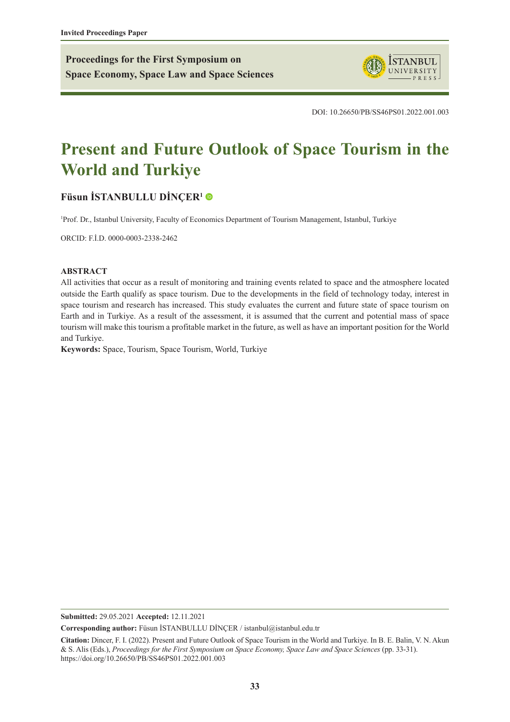**Proceedings for the First Symposium on Space Economy, Space Law and Space Sciences**



DOI: 10.26650/PB/SS46PS01.2022.001.003

# **Present and Future Outlook of Space Tourism in the World and Turkiye**

# **[Füsun İSTANBULLU DİNÇER](https://orcid.org/0000-0003-2338-2462)<sup>1</sup>**

1 Prof. Dr., Istanbul University, Faculty of Economics Department of Tourism Management, Istanbul, Turkiye

ORCID: F.İ.D. 0000-0003-2338-2462

#### **ABSTRACT**

All activities that occur as a result of monitoring and training events related to space and the atmosphere located outside the Earth qualify as space tourism. Due to the developments in the field of technology today, interest in space tourism and research has increased. This study evaluates the current and future state of space tourism on Earth and in Turkiye. As a result of the assessment, it is assumed that the current and potential mass of space tourism will make this tourism a profitable market in the future, as well as have an important position for the World and Turkiye.

**Keywords:** Space, Tourism, Space Tourism, World, Turkiye

**Submitted:** 29.05.2021 **Accepted:** 12.11.2021

**Corresponding author:** Füsun İSTANBULLU DİNCER / istanbul@istanbul.edu.tr

**Citation:** Dincer, F. I. (2022). Present and Future Outlook of Space Tourism in the World and Turkiye. In B. E. Balin, V. N. Akun & S. Alis (Eds.), *Proceedings for the First Symposium on Space Economy, Space Law and Space Sciences* (pp. 33-31). https://doi.org/10.26650/PB/SS46PS01.2022.001.003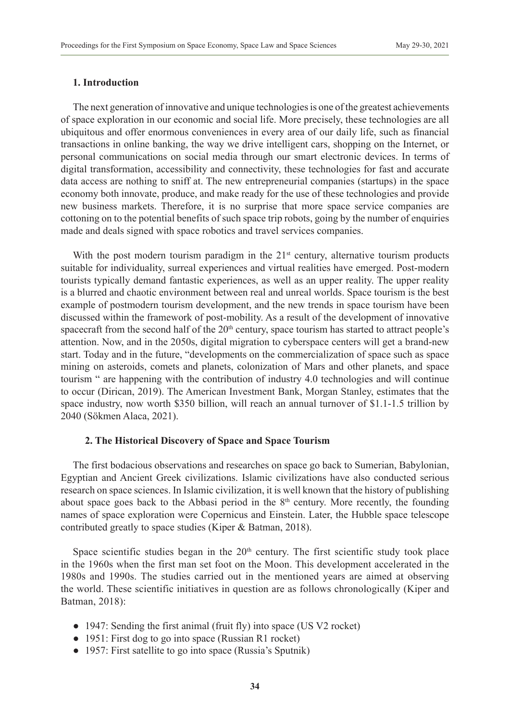## **1. Introduction**

The next generation of innovative and unique technologies is one of the greatest achievements of space exploration in our economic and social life. More precisely, these technologies are all ubiquitous and offer enormous conveniences in every area of our daily life, such as financial transactions in online banking, the way we drive intelligent cars, shopping on the Internet, or personal communications on social media through our smart electronic devices. In terms of digital transformation, accessibility and connectivity, these technologies for fast and accurate data access are nothing to sniff at. The new entrepreneurial companies (startups) in the space economy both innovate, produce, and make ready for the use of these technologies and provide new business markets. Therefore, it is no surprise that more space service companies are cottoning on to the potential benefits of such space trip robots, going by the number of enquiries made and deals signed with space robotics and travel services companies.

With the post modern tourism paradigm in the  $21<sup>st</sup>$  century, alternative tourism products suitable for individuality, surreal experiences and virtual realities have emerged. Post-modern tourists typically demand fantastic experiences, as well as an upper reality. The upper reality is a blurred and chaotic environment between real and unreal worlds. Space tourism is the best example of postmodern tourism development, and the new trends in space tourism have been discussed within the framework of post-mobility. As a result of the development of innovative spacecraft from the second half of the  $20<sup>th</sup>$  century, space tourism has started to attract people's attention. Now, and in the 2050s, digital migration to cyberspace centers will get a brand-new start. Today and in the future, "developments on the commercialization of space such as space mining on asteroids, comets and planets, colonization of Mars and other planets, and space tourism " are happening with the contribution of industry 4.0 technologies and will continue to occur (Dirican, 2019). The American Investment Bank, Morgan Stanley, estimates that the space industry, now worth \$350 billion, will reach an annual turnover of \$1.1-1.5 trillion by 2040 (Sökmen Alaca, 2021).

#### **2. The Historical Discovery of Space and Space Tourism**

The first bodacious observations and researches on space go back to Sumerian, Babylonian, Egyptian and Ancient Greek civilizations. Islamic civilizations have also conducted serious research on space sciences. In Islamic civilization, it is well known that the history of publishing about space goes back to the Abbasi period in the  $8<sup>th</sup>$  century. More recently, the founding names of space exploration were Copernicus and Einstein. Later, the Hubble space telescope contributed greatly to space studies (Kiper & Batman, 2018).

Space scientific studies began in the  $20<sup>th</sup>$  century. The first scientific study took place in the 1960s when the first man set foot on the Moon. This development accelerated in the 1980s and 1990s. The studies carried out in the mentioned years are aimed at observing the world. These scientific initiatives in question are as follows chronologically (Kiper and Batman, 2018):

- 1947: Sending the first animal (fruit fly) into space (US V2 rocket)
- 1951: First dog to go into space (Russian R1 rocket)
- 1957: First satellite to go into space (Russia's Sputnik)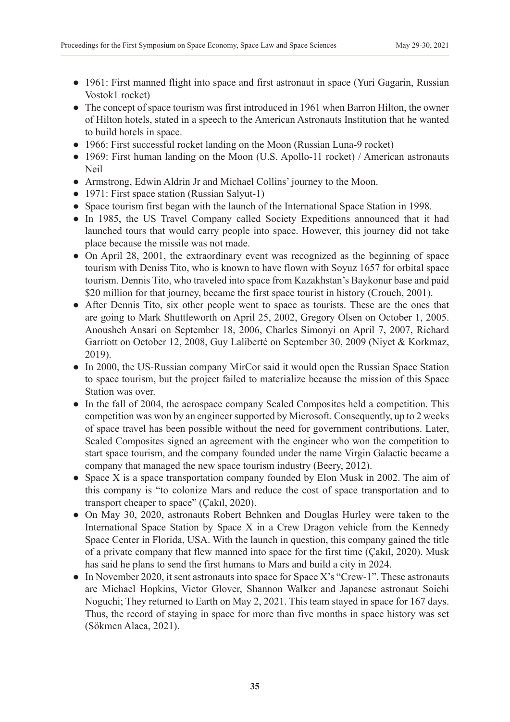- 1961: First manned flight into space and first astronaut in space (Yuri Gagarin, Russian Vostok1 rocket)
- The concept of space tourism was first introduced in 1961 when Barron Hilton, the owner of Hilton hotels, stated in a speech to the American Astronauts Institution that he wanted to build hotels in space.
- 1966: First successful rocket landing on the Moon (Russian Luna-9 rocket)
- 1969: First human landing on the Moon (U.S. Apollo-11 rocket) / American astronauts Neil
- Armstrong, Edwin Aldrin Jr and Michael Collins' journey to the Moon.
- 1971: First space station (Russian Salyut-1)
- Space tourism first began with the launch of the International Space Station in 1998.
- In 1985, the US Travel Company called Society Expeditions announced that it had launched tours that would carry people into space. However, this journey did not take place because the missile was not made.
- On April 28, 2001, the extraordinary event was recognized as the beginning of space tourism with Deniss Tito, who is known to have flown with Soyuz 1657 for orbital space tourism. Dennis Tito, who traveled into space from Kazakhstan's Baykonur base and paid \$20 million for that journey, became the first space tourist in history (Crouch, 2001).
- After Dennis Tito, six other people went to space as tourists. These are the ones that are going to Mark Shuttleworth on April 25, 2002, Gregory Olsen on October 1, 2005. Anousheh Ansari on September 18, 2006, Charles Simonyi on April 7, 2007, Richard Garriott on October 12, 2008, Guy Laliberté on September 30, 2009 (Niyet & Korkmaz, 2019).
- In 2000, the US-Russian company MirCor said it would open the Russian Space Station to space tourism, but the project failed to materialize because the mission of this Space Station was over.
- In the fall of 2004, the aerospace company Scaled Composites held a competition. This competition was won by an engineer supported by Microsoft. Consequently, up to 2 weeks of space travel has been possible without the need for government contributions. Later, Scaled Composites signed an agreement with the engineer who won the competition to start space tourism, and the company founded under the name Virgin Galactic became a company that managed the new space tourism industry (Beery, 2012).
- Space X is a space transportation company founded by Elon Musk in 2002. The aim of this company is "to colonize Mars and reduce the cost of space transportation and to transport cheaper to space" (Çakıl, 2020).
- On May 30, 2020, astronauts Robert Behnken and Douglas Hurley were taken to the International Space Station by Space X in a Crew Dragon vehicle from the Kennedy Space Center in Florida, USA. With the launch in question, this company gained the title of a private company that flew manned into space for the first time (Çakıl, 2020). Musk has said he plans to send the first humans to Mars and build a city in 2024.
- $\bullet$  In November 2020, it sent astronauts into space for Space X's "Crew-1". These astronauts are Michael Hopkins, Victor Glover, Shannon Walker and Japanese astronaut Soichi Noguchi; They returned to Earth on May 2, 2021. This team stayed in space for 167 days. Thus, the record of staying in space for more than five months in space history was set (Sökmen Alaca, 2021).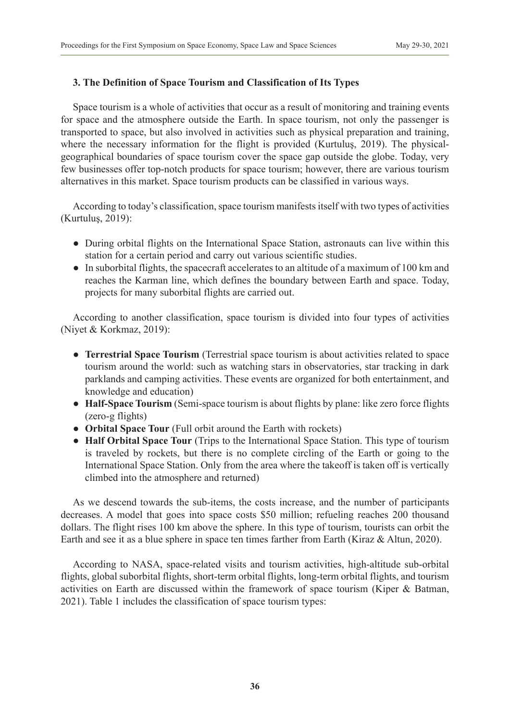# **3. The Definition of Space Tourism and Classification of Its Types**

Space tourism is a whole of activities that occur as a result of monitoring and training events for space and the atmosphere outside the Earth. In space tourism, not only the passenger is transported to space, but also involved in activities such as physical preparation and training, where the necessary information for the flight is provided (Kurtuluş, 2019). The physicalgeographical boundaries of space tourism cover the space gap outside the globe. Today, very few businesses offer top-notch products for space tourism; however, there are various tourism alternatives in this market. Space tourism products can be classified in various ways.

According to today's classification, space tourism manifests itself with two types of activities (Kurtuluş, 2019):

- During orbital flights on the International Space Station, astronauts can live within this station for a certain period and carry out various scientific studies.
- In suborbital flights, the spacecraft accelerates to an altitude of a maximum of 100 km and reaches the Karman line, which defines the boundary between Earth and space. Today, projects for many suborbital flights are carried out.

According to another classification, space tourism is divided into four types of activities (Niyet & Korkmaz, 2019):

- **Terrestrial Space Tourism** (Terrestrial space tourism is about activities related to space tourism around the world: such as watching stars in observatories, star tracking in dark parklands and camping activities. These events are organized for both entertainment, and knowledge and education)
- **Half-Space Tourism** (Semi-space tourism is about flights by plane: like zero force flights (zero-g flights)
- **Orbital Space Tour** (Full orbit around the Earth with rockets)
- **Half Orbital Space Tour** (Trips to the International Space Station. This type of tourism is traveled by rockets, but there is no complete circling of the Earth or going to the International Space Station. Only from the area where the takeoff is taken off is vertically climbed into the atmosphere and returned)

As we descend towards the sub-items, the costs increase, and the number of participants decreases. A model that goes into space costs \$50 million; refueling reaches 200 thousand dollars. The flight rises 100 km above the sphere. In this type of tourism, tourists can orbit the Earth and see it as a blue sphere in space ten times farther from Earth (Kiraz & Altun, 2020).

According to NASA, space-related visits and tourism activities, high-altitude sub-orbital flights, global suborbital flights, short-term orbital flights, long-term orbital flights, and tourism activities on Earth are discussed within the framework of space tourism (Kiper & Batman, 2021). Table 1 includes the classification of space tourism types: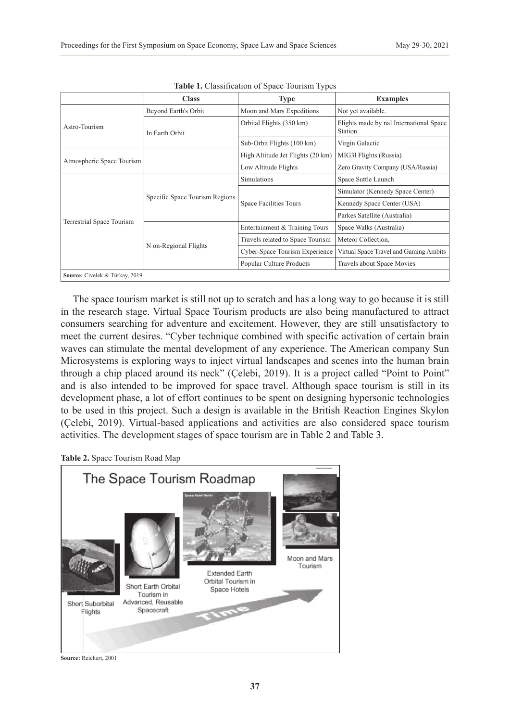|                                 | <b>Class</b>                   | <b>Type</b>                                                                                                                                                                                                                                                                 | <b>Examples</b>                                    |
|---------------------------------|--------------------------------|-----------------------------------------------------------------------------------------------------------------------------------------------------------------------------------------------------------------------------------------------------------------------------|----------------------------------------------------|
|                                 | Beyond Earth's Orbit           | Moon and Mars Expeditions                                                                                                                                                                                                                                                   | Not yet available.                                 |
| Astro-Tourism                   | In Earth Orbit                 | Orbital Flights (350 km)                                                                                                                                                                                                                                                    | Flights made by nal International Space<br>Station |
|                                 |                                | Sub-Orbit Flights (100 km)<br>High Altitude Jet Flights (20 km)<br>Low Altitude Flights<br>Simulations<br><b>Space Facilities Tours</b><br>Entertainment & Training Tours<br>Travels related to Space Tourism<br>Cyber-Space Tourism Experience<br>Popular Culture Products | Virgin Galactic                                    |
|                                 |                                |                                                                                                                                                                                                                                                                             | MIG31 Flights (Russia)                             |
| Atmospheric Space Tourism       |                                |                                                                                                                                                                                                                                                                             | Zero Gravity Company (USA/Russia)                  |
| Terrestrial Space Tourism       | Specific Space Tourism Regions |                                                                                                                                                                                                                                                                             | Space Suttle Launch                                |
|                                 |                                |                                                                                                                                                                                                                                                                             | Simulator (Kennedy Space Center)                   |
|                                 |                                |                                                                                                                                                                                                                                                                             | Kennedy Space Center (USA)                         |
|                                 |                                |                                                                                                                                                                                                                                                                             | Parkes Satellite (Australia)                       |
|                                 | N on-Regional Flights          |                                                                                                                                                                                                                                                                             | Space Walks (Australia)                            |
|                                 |                                |                                                                                                                                                                                                                                                                             | Meteor Collection.                                 |
|                                 |                                |                                                                                                                                                                                                                                                                             | Virtual Space Travel and Gaming Ambits             |
|                                 |                                |                                                                                                                                                                                                                                                                             | Travels about Space Movies                         |
| Source: Civelek & Türkay, 2019. |                                |                                                                                                                                                                                                                                                                             |                                                    |

| Table 1. Classification of Space Tourism Types |  |  |  |
|------------------------------------------------|--|--|--|
|------------------------------------------------|--|--|--|

The space tourism market is still not up to scratch and has a long way to go because it is still in the research stage. Virtual Space Tourism products are also being manufactured to attract consumers searching for adventure and excitement. However, they are still unsatisfactory to meet the current desires. "Cyber technique combined with specific activation of certain brain waves can stimulate the mental development of any experience. The American company Sun Microsystems is exploring ways to inject virtual landscapes and scenes into the human brain through a chip placed around its neck" (Çelebi, 2019). It is a project called "Point to Point" and is also intended to be improved for space travel. Although space tourism is still in its development phase, a lot of effort continues to be spent on designing hypersonic technologies to be used in this project. Such a design is available in the British Reaction Engines Skylon (Çelebi, 2019). Virtual-based applications and activities are also considered space tourism activities. The development stages of space tourism are in Table 2 and Table 3.



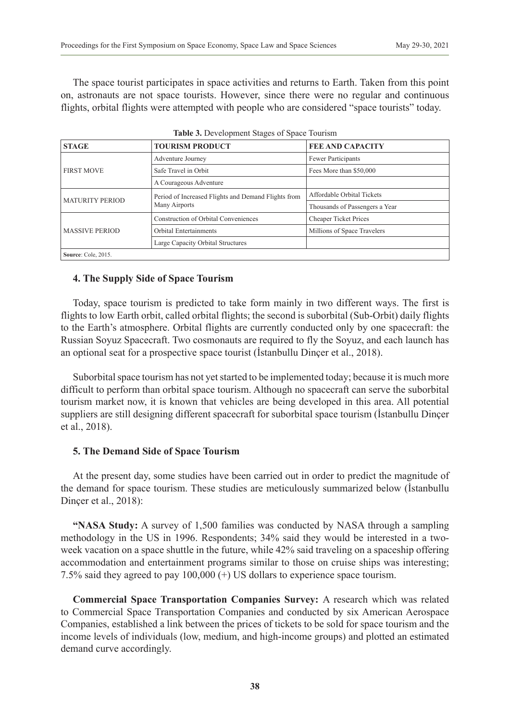The space tourist participates in space activities and returns to Earth. Taken from this point on, astronauts are not space tourists. However, since there were no regular and continuous flights, orbital flights were attempted with people who are considered "space tourists" today.

| <b>STAGE</b>           | <b>Table 5:</b> Development blages of opace Tourism |                                |  |  |
|------------------------|-----------------------------------------------------|--------------------------------|--|--|
|                        | <b>TOURISM PRODUCT</b>                              | <b>FEE AND CAPACITY</b>        |  |  |
| <b>FIRST MOVE</b>      | Adventure Journey                                   | Fewer Participants             |  |  |
|                        | Safe Travel in Orbit                                | Fees More than \$50,000        |  |  |
|                        | A Courageous Adventure                              |                                |  |  |
| <b>MATURITY PERIOD</b> | Period of Increased Flights and Demand Flights from | Affordable Orbital Tickets     |  |  |
|                        | Many Airports                                       | Thousands of Passengers a Year |  |  |
|                        | Construction of Orbital Conveniences                | <b>Cheaper Ticket Prices</b>   |  |  |
| <b>MASSIVE PERIOD</b>  | <b>Orbital Entertainments</b>                       | Millions of Space Travelers    |  |  |
|                        | Large Capacity Orbital Structures                   |                                |  |  |
| Source: Cole, 2015.    |                                                     |                                |  |  |

|  |  | Table 3. Development Stages of Space Tourism |  |  |
|--|--|----------------------------------------------|--|--|
|--|--|----------------------------------------------|--|--|

## **4. The Supply Side of Space Tourism**

Today, space tourism is predicted to take form mainly in two different ways. The first is flights to low Earth orbit, called orbital flights; the second is suborbital (Sub-Orbit) daily flights to the Earth's atmosphere. Orbital flights are currently conducted only by one spacecraft: the Russian Soyuz Spacecraft. Two cosmonauts are required to fly the Soyuz, and each launch has an optional seat for a prospective space tourist (İstanbullu Dinçer et al., 2018).

Suborbital space tourism has not yet started to be implemented today; because it is much more difficult to perform than orbital space tourism. Although no spacecraft can serve the suborbital tourism market now, it is known that vehicles are being developed in this area. All potential suppliers are still designing different spacecraft for suborbital space tourism (İstanbullu Dinçer et al., 2018).

#### **5. The Demand Side of Space Tourism**

At the present day, some studies have been carried out in order to predict the magnitude of the demand for space tourism. These studies are meticulously summarized below (İstanbullu Dinçer et al., 2018):

**"NASA Study:** A survey of 1,500 families was conducted by NASA through a sampling methodology in the US in 1996. Respondents; 34% said they would be interested in a twoweek vacation on a space shuttle in the future, while 42% said traveling on a spaceship offering accommodation and entertainment programs similar to those on cruise ships was interesting; 7.5% said they agreed to pay 100,000 (+) US dollars to experience space tourism.

**Commercial Space Transportation Companies Survey:** A research which was related to Commercial Space Transportation Companies and conducted by six American Aerospace Companies, established a link between the prices of tickets to be sold for space tourism and the income levels of individuals (low, medium, and high-income groups) and plotted an estimated demand curve accordingly.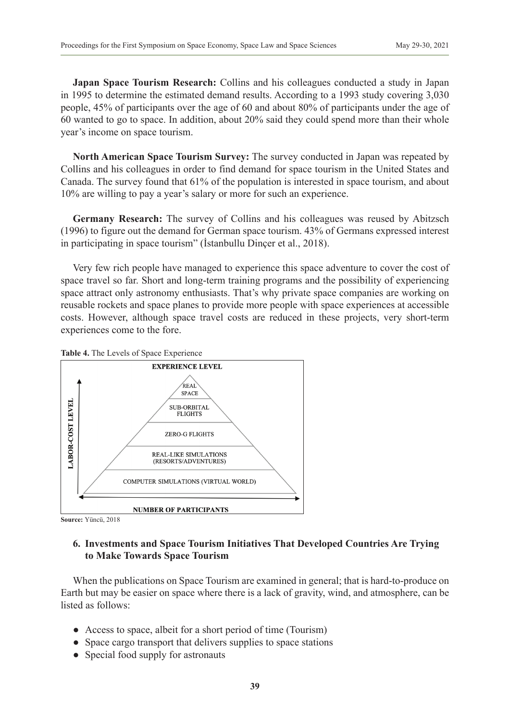**Japan Space Tourism Research:** Collins and his colleagues conducted a study in Japan in 1995 to determine the estimated demand results. According to a 1993 study covering 3,030 people, 45% of participants over the age of 60 and about 80% of participants under the age of 60 wanted to go to space. In addition, about 20% said they could spend more than their whole year's income on space tourism.

**North American Space Tourism Survey:** The survey conducted in Japan was repeated by Collins and his colleagues in order to find demand for space tourism in the United States and Canada. The survey found that 61% of the population is interested in space tourism, and about 10% are willing to pay a year's salary or more for such an experience.

**Germany Research:** The survey of Collins and his colleagues was reused by Abitzsch (1996) to figure out the demand for German space tourism. 43% of Germans expressed interest in participating in space tourism" (İstanbullu Dinçer et al., 2018).

Very few rich people have managed to experience this space adventure to cover the cost of space travel so far. Short and long-term training programs and the possibility of experiencing space attract only astronomy enthusiasts. That's why private space companies are working on reusable rockets and space planes to provide more people with space experiences at accessible costs. However, although space travel costs are reduced in these projects, very short-term experiences come to the fore.





**Source:** Yüncü, 2018

## **6. Investments and Space Tourism Initiatives That Developed Countries Are Trying to Make Towards Space Tourism**

When the publications on Space Tourism are examined in general; that is hard-to-produce on Earth but may be easier on space where there is a lack of gravity, wind, and atmosphere, can be listed as follows:

- Access to space, albeit for a short period of time (Tourism)
- Space cargo transport that delivers supplies to space stations
- Special food supply for astronauts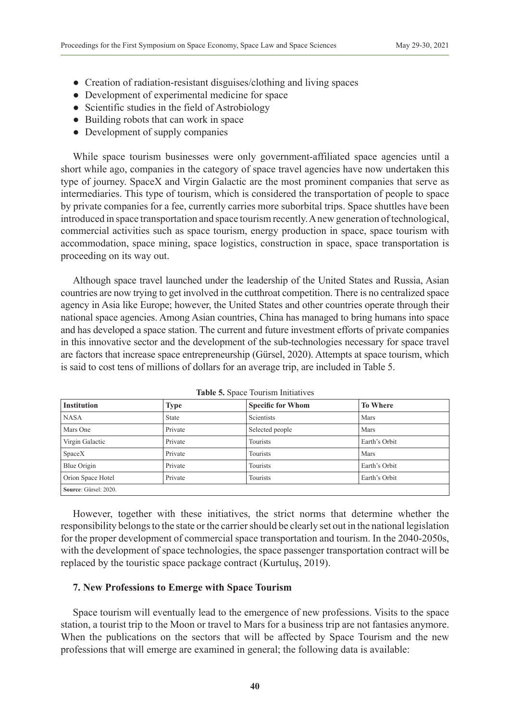- Creation of radiation-resistant disguises/clothing and living spaces
- Development of experimental medicine for space
- Scientific studies in the field of Astrobiology
- Building robots that can work in space
- Development of supply companies

While space tourism businesses were only government-affiliated space agencies until a short while ago, companies in the category of space travel agencies have now undertaken this type of journey. SpaceX and Virgin Galactic are the most prominent companies that serve as intermediaries. This type of tourism, which is considered the transportation of people to space by private companies for a fee, currently carries more suborbital trips. Space shuttles have been introduced in space transportation and space tourism recently. A new generation of technological, commercial activities such as space tourism, energy production in space, space tourism with accommodation, space mining, space logistics, construction in space, space transportation is proceeding on its way out.

Although space travel launched under the leadership of the United States and Russia, Asian countries are now trying to get involved in the cutthroat competition. There is no centralized space agency in Asia like Europe; however, the United States and other countries operate through their national space agencies. Among Asian countries, China has managed to bring humans into space and has developed a space station. The current and future investment efforts of private companies in this innovative sector and the development of the sub-technologies necessary for space travel are factors that increase space entrepreneurship (Gürsel, 2020). Attempts at space tourism, which is said to cost tens of millions of dollars for an average trip, are included in Table 5.

| <b>Institution</b>    | <b>Type</b>  | <b>Specific for Whom</b> | <b>To Where</b> |
|-----------------------|--------------|--------------------------|-----------------|
| <b>NASA</b>           | <b>State</b> | <b>Scientists</b>        | Mars            |
| Mars One              | Private      | Selected people          | Mars            |
| Virgin Galactic       | Private      | Tourists                 | Earth's Orbit   |
| SpaceX                | Private      | Tourists                 | Mars            |
| Blue Origin           | Private      | Tourists                 | Earth's Orbit   |
| Orion Space Hotel     | Private      | Tourists                 | Earth's Orbit   |
| Source: Gürsel: 2020. |              |                          |                 |

**Table 5.** Space Tourism Initiatives

However, together with these initiatives, the strict norms that determine whether the responsibility belongs to the state or the carrier should be clearly set out in the national legislation for the proper development of commercial space transportation and tourism. In the 2040-2050s, with the development of space technologies, the space passenger transportation contract will be replaced by the touristic space package contract (Kurtuluş, 2019).

#### **7. New Professions to Emerge with Space Tourism**

Space tourism will eventually lead to the emergence of new professions. Visits to the space station, a tourist trip to the Moon or travel to Mars for a business trip are not fantasies anymore. When the publications on the sectors that will be affected by Space Tourism and the new professions that will emerge are examined in general; the following data is available: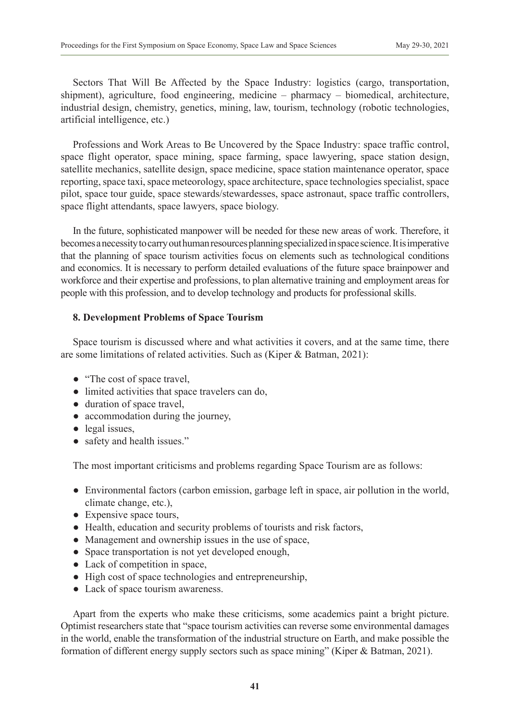Sectors That Will Be Affected by the Space Industry: logistics (cargo, transportation, shipment), agriculture, food engineering, medicine – pharmacy – biomedical, architecture, industrial design, chemistry, genetics, mining, law, tourism, technology (robotic technologies, artificial intelligence, etc.)

Professions and Work Areas to Be Uncovered by the Space Industry: space traffic control, space flight operator, space mining, space farming, space lawyering, space station design, satellite mechanics, satellite design, space medicine, space station maintenance operator, space reporting, space taxi, space meteorology, space architecture, space technologies specialist, space pilot, space tour guide, space stewards/stewardesses, space astronaut, space traffic controllers, space flight attendants, space lawyers, space biology.

In the future, sophisticated manpower will be needed for these new areas of work. Therefore, it becomes a necessity to carry out human resources planning specialized in space science. It is imperative that the planning of space tourism activities focus on elements such as technological conditions and economics. It is necessary to perform detailed evaluations of the future space brainpower and workforce and their expertise and professions, to plan alternative training and employment areas for people with this profession, and to develop technology and products for professional skills.

## **8. Development Problems of Space Tourism**

Space tourism is discussed where and what activities it covers, and at the same time, there are some limitations of related activities. Such as (Kiper & Batman, 2021):

- "The cost of space travel,
- limited activities that space travelers can do,
- duration of space travel,
- accommodation during the journey,
- legal issues,
- safety and health issues."

The most important criticisms and problems regarding Space Tourism are as follows:

- Environmental factors (carbon emission, garbage left in space, air pollution in the world, climate change, etc.),
- Expensive space tours,
- Health, education and security problems of tourists and risk factors,
- Management and ownership issues in the use of space,
- Space transportation is not yet developed enough,
- Lack of competition in space,
- High cost of space technologies and entrepreneurship,
- Lack of space tourism awareness.

Apart from the experts who make these criticisms, some academics paint a bright picture. Optimist researchers state that "space tourism activities can reverse some environmental damages in the world, enable the transformation of the industrial structure on Earth, and make possible the formation of different energy supply sectors such as space mining" (Kiper & Batman, 2021).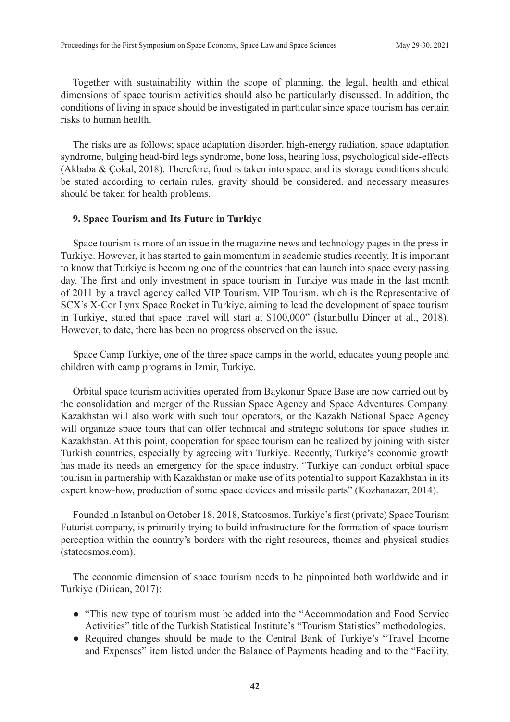Together with sustainability within the scope of planning, the legal, health and ethical dimensions of space tourism activities should also be particularly discussed. In addition, the conditions of living in space should be investigated in particular since space tourism has certain risks to human health.

The risks are as follows; space adaptation disorder, high-energy radiation, space adaptation syndrome, bulging head-bird legs syndrome, bone loss, hearing loss, psychological side-effects (Akbaba & Çokal, 2018). Therefore, food is taken into space, and its storage conditions should be stated according to certain rules, gravity should be considered, and necessary measures should be taken for health problems.

#### **9. Space Tourism and Its Future in Turkiye**

Space tourism is more of an issue in the magazine news and technology pages in the press in Turkiye. However, it has started to gain momentum in academic studies recently. It is important to know that Turkiye is becoming one of the countries that can launch into space every passing day. The first and only investment in space tourism in Turkiye was made in the last month of 2011 by a travel agency called VIP Tourism. VIP Tourism, which is the Representative of SCX's X-Cor Lynx Space Rocket in Turkiye, aiming to lead the development of space tourism in Turkiye, stated that space travel will start at \$100,000" (İstanbullu Dinçer at al., 2018). However, to date, there has been no progress observed on the issue.

Space Camp Turkiye, one of the three space camps in the world, educates young people and children with camp programs in Izmir, Turkiye.

Orbital space tourism activities operated from Baykonur Space Base are now carried out by the consolidation and merger of the Russian Space Agency and Space Adventures Company. Kazakhstan will also work with such tour operators, or the Kazakh National Space Agency will organize space tours that can offer technical and strategic solutions for space studies in Kazakhstan. At this point, cooperation for space tourism can be realized by joining with sister Turkish countries, especially by agreeing with Turkiye. Recently, Turkiye's economic growth has made its needs an emergency for the space industry. "Turkiye can conduct orbital space tourism in partnership with Kazakhstan or make use of its potential to support Kazakhstan in its expert know-how, production of some space devices and missile parts" (Kozhanazar, 2014).

Founded in Istanbul on October 18, 2018, Statcosmos, Turkiye's first (private) Space Tourism Futurist company, is primarily trying to build infrastructure for the formation of space tourism perception within the country's borders with the right resources, themes and physical studies [\(statcosmos.com\).](https://statcosmos.com/)

The economic dimension of space tourism needs to be pinpointed both worldwide and in Turkiye (Dirican, 2017):

- "This new type of tourism must be added into the "Accommodation and Food Service Activities" title of the Turkish Statistical Institute's "Tourism Statistics" methodologies.
- Required changes should be made to the Central Bank of Turkiye's "Travel Income and Expenses" item listed under the Balance of Payments heading and to the "Facility,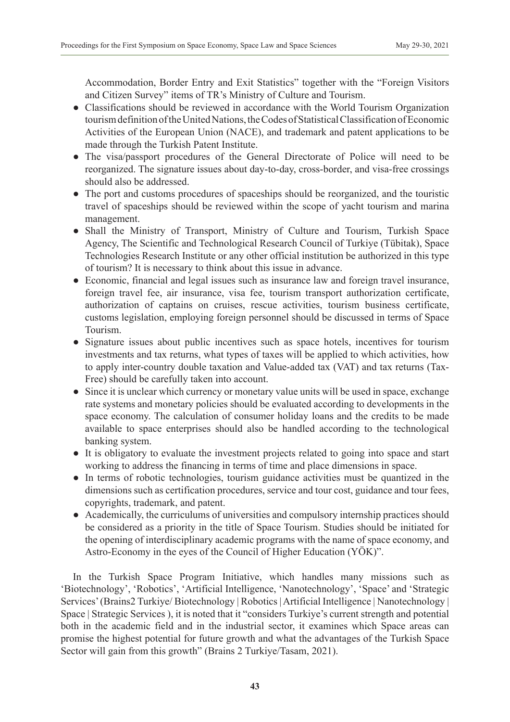Accommodation, Border Entry and Exit Statistics" together with the "Foreign Visitors and Citizen Survey" items of TR's Ministry of Culture and Tourism.

- Classifications should be reviewed in accordance with the World Tourism Organization tourism definition of the United Nations, the Codes of Statistical Classification of Economic Activities of the European Union (NACE), and trademark and patent applications to be made through the Turkish Patent Institute.
- The visa/passport procedures of the General Directorate of Police will need to be reorganized. The signature issues about day-to-day, cross-border, and visa-free crossings should also be addressed.
- The port and customs procedures of spaceships should be reorganized, and the touristic travel of spaceships should be reviewed within the scope of yacht tourism and marina management.
- Shall the Ministry of Transport, Ministry of Culture and Tourism, Turkish Space Agency, The Scientific and Technological Research Council of Turkiye (Tübitak), Space Technologies Research Institute or any other official institution be authorized in this type of tourism? It is necessary to think about this issue in advance.
- Economic, financial and legal issues such as insurance law and foreign travel insurance, foreign travel fee, air insurance, visa fee, tourism transport authorization certificate, authorization of captains on cruises, rescue activities, tourism business certificate, customs legislation, employing foreign personnel should be discussed in terms of Space Tourism.
- Signature issues about public incentives such as space hotels, incentives for tourism investments and tax returns, what types of taxes will be applied to which activities, how to apply inter-country double taxation and Value-added tax (VAT) and tax returns (Tax-Free) should be carefully taken into account.
- Since it is unclear which currency or monetary value units will be used in space, exchange rate systems and monetary policies should be evaluated according to developments in the space economy. The calculation of consumer holiday loans and the credits to be made available to space enterprises should also be handled according to the technological banking system.
- It is obligatory to evaluate the investment projects related to going into space and start working to address the financing in terms of time and place dimensions in space.
- In terms of robotic technologies, tourism guidance activities must be quantized in the dimensions such as certification procedures, service and tour cost, guidance and tour fees, copyrights, trademark, and patent.
- Academically, the curriculums of universities and compulsory internship practices should be considered as a priority in the title of Space Tourism. Studies should be initiated for the opening of interdisciplinary academic programs with the name of space economy, and Astro-Economy in the eyes of the Council of Higher Education (YÖK)".

In the Turkish Space Program Initiative, which handles many missions such as 'Biotechnology', 'Robotics', 'Artificial Intelligence, 'Nanotechnology', 'Space' and 'Strategic Services' (Brains2 Turkiye/ Biotechnology | Robotics | Artificial Intelligence | Nanotechnology | Space | Strategic Services ), it is noted that it "considers Turkiye's current strength and potential both in the academic field and in the industrial sector, it examines which Space areas can promise the highest potential for future growth and what the advantages of the Turkish Space Sector will gain from this growth" (Brains 2 Turkiye/Tasam, 2021).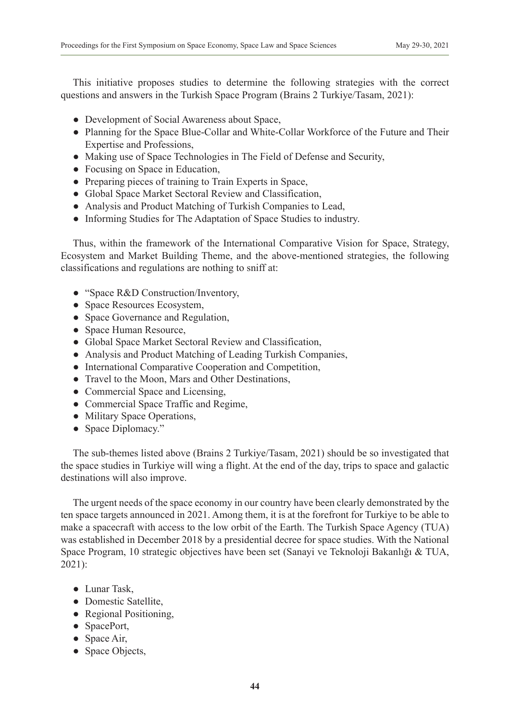This initiative proposes studies to determine the following strategies with the correct questions and answers in the Turkish Space Program (Brains 2 Turkiye/Tasam, 2021):

- Development of Social Awareness about Space,
- Planning for the Space Blue-Collar and White-Collar Workforce of the Future and Their Expertise and Professions,
- Making use of Space Technologies in The Field of Defense and Security,
- Focusing on Space in Education,
- Preparing pieces of training to Train Experts in Space,
- Global Space Market Sectoral Review and Classification,
- Analysis and Product Matching of Turkish Companies to Lead,
- Informing Studies for The Adaptation of Space Studies to industry.

Thus, within the framework of the International Comparative Vision for Space, Strategy, Ecosystem and Market Building Theme, and the above-mentioned strategies, the following classifications and regulations are nothing to sniff at:

- "Space R&D Construction/Inventory,
- Space Resources Ecosystem,
- Space Governance and Regulation,
- Space Human Resource,
- Global Space Market Sectoral Review and Classification,
- Analysis and Product Matching of Leading Turkish Companies,
- International Comparative Cooperation and Competition,
- Travel to the Moon, Mars and Other Destinations,
- Commercial Space and Licensing,
- Commercial Space Traffic and Regime,
- Military Space Operations,
- Space Diplomacy."

The sub-themes listed above (Brains 2 Turkiye/Tasam, 2021) should be so investigated that the space studies in Turkiye will wing a flight. At the end of the day, trips to space and galactic destinations will also improve.

The urgent needs of the space economy in our country have been clearly demonstrated by the ten space targets announced in 2021. Among them, it is at the forefront for Turkiye to be able to make a spacecraft with access to the low orbit of the Earth. The Turkish Space Agency (TUA) was established in December 2018 by a presidential decree for space studies. With the National Space Program, 10 strategic objectives have been set (Sanayi ve Teknoloji Bakanlığı & TUA, 2021):

- Lunar Task,
- Domestic Satellite,
- Regional Positioning,
- SpacePort,
- $\bullet$  Space Air,
- Space Objects,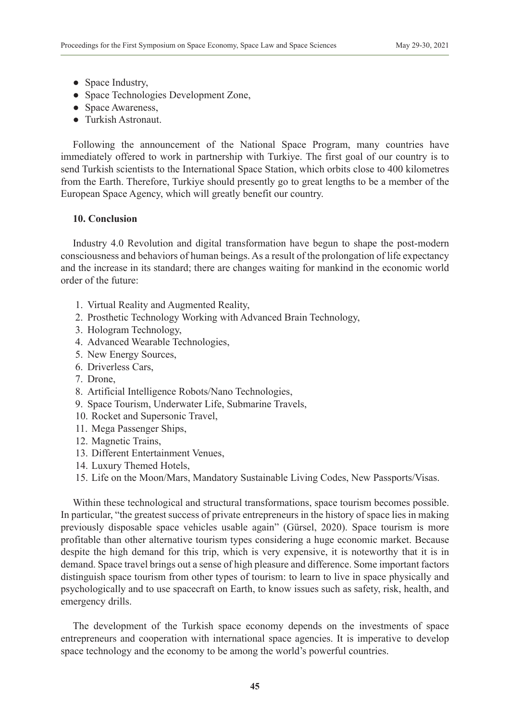- Space Industry,
- Space Technologies Development Zone,
- Space Awareness,
- Turkish Astronaut.

Following the announcement of the National Space Program, many countries have immediately offered to work in partnership with Turkiye. The first goal of our country is to send Turkish scientists to the International Space Station, which orbits close to 400 kilometres from the Earth. Therefore, Turkiye should presently go to great lengths to be a member of the European Space Agency, which will greatly benefit our country.

## **10. Conclusion**

Industry 4.0 Revolution and digital transformation have begun to shape the post-modern consciousness and behaviors of human beings. As a result of the prolongation of life expectancy and the increase in its standard; there are changes waiting for mankind in the economic world order of the future:

- 1. Virtual Reality and Augmented Reality,
- 2. Prosthetic Technology Working with Advanced Brain Technology,
- 3. Hologram Technology,
- 4. Advanced Wearable Technologies,
- 5. New Energy Sources,
- 6. Driverless Cars,
- 7. Drone,
- 8. Artificial Intelligence Robots/Nano Technologies,
- 9. Space Tourism, Underwater Life, Submarine Travels,
- 10. Rocket and Supersonic Travel,
- 11. Mega Passenger Ships,
- 12. Magnetic Trains,
- 13. Different Entertainment Venues,
- 14. Luxury Themed Hotels,
- 15. Life on the Moon/Mars, Mandatory Sustainable Living Codes, New Passports/Visas.

Within these technological and structural transformations, space tourism becomes possible. In particular, "the greatest success of private entrepreneurs in the history of space lies in making previously disposable space vehicles usable again" (Gürsel, 2020). Space tourism is more profitable than other alternative tourism types considering a huge economic market. Because despite the high demand for this trip, which is very expensive, it is noteworthy that it is in demand. Space travel brings out a sense of high pleasure and difference. Some important factors distinguish space tourism from other types of tourism: to learn to live in space physically and psychologically and to use spacecraft on Earth, to know issues such as safety, risk, health, and emergency drills.

The development of the Turkish space economy depends on the investments of space entrepreneurs and cooperation with international space agencies. It is imperative to develop space technology and the economy to be among the world's powerful countries.